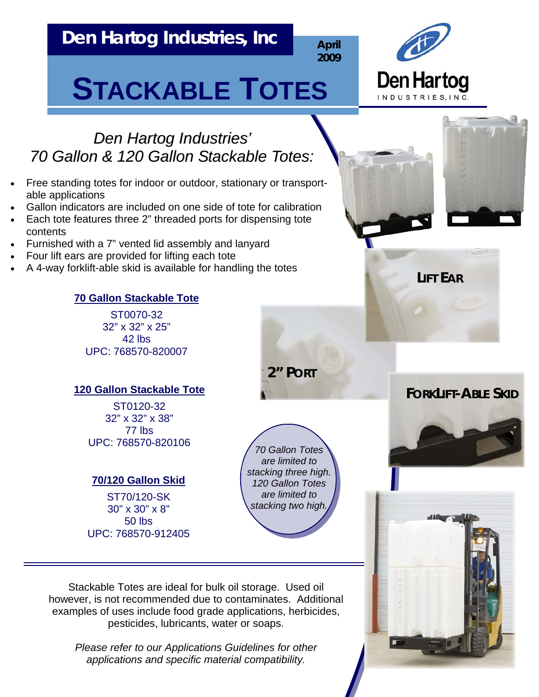# **Den Hartog Industries, Inc**

**April 2009**



# **STACKABLE TOTES**





**LIFT EAR**

*Den Hartog Industries' 70 Gallon & 120 Gallon Stackable Totes: 70 Gallon & 120 Gallon Stackable Totes:*

- Free standing totes for indoor or outdoor, stationary or transportable applications
- Gallon indicators are included on one side of tote for calibration
- Each tote features three 2" threaded ports for dispensing tote contents
- Furnished with a 7" vented lid assembly and lanyard
- Four lift ears are provided for lifting each tote
- A 4-way forklift-able skid is available for handling the totes

#### **70 Gallon Stackable Tote**

ST0070-32 32" x 32" x 25" 42 lbs UPC: 768570-820007

#### **120 Gallon Stackable Tote**

ST0120-32 32" x 32" x 38" 77 lbs UPC: 768570-820106

#### **70/120 Gallon Skid**

ST70/120-SK 30" x 30" x 8" 50 lbs UPC: 768570-912405

*70 Gallon Totes are limited to stacking three high. 120 Gallon Totes are limited to stacking two high.*

Stackable Totes are ideal for bulk oil storage. Used oil however, is not recommended due to contaminates. Additional examples of uses include food grade applications, herbicides, pesticides, lubricants, water or soaps.

*Please refer to our Applications Guidelines for other applications and specific material compatibility.* 

## **2" PORT**

## **FORKLIFT-ABLE SKID**